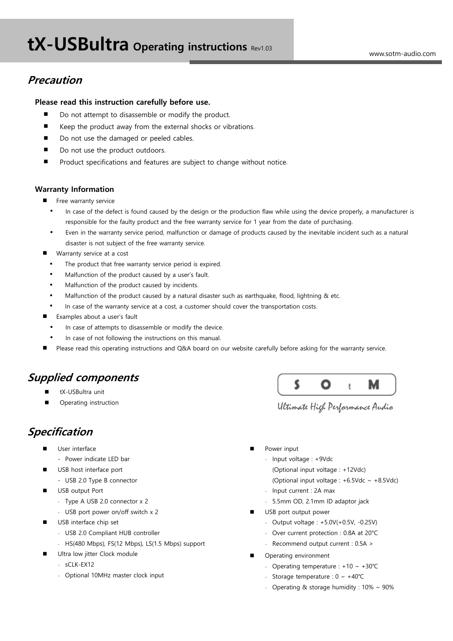# **Precaution**

### Please read this instruction carefully before use.

- Do not attempt to disassemble or modify the product.
- Keep the product away from the external shocks or vibrations.
- Do not use the damaged or peeled cables.
- Do not use the product outdoors.
- **Product specifications and features are subject to change without notice.**

#### Warranty Information

- Free warranty service
	- In case of the defect is found caused by the design or the production flaw while using the device properly, a manufacturer is responsible for the faulty product and the free warranty service for 1 year from the date of purchasing.
	- Even in the warranty service period, malfunction or damage of products caused by the inevitable incident such as a natural disaster is not subject of the free warranty service.
- Warranty service at a cost
	- The product that free warranty service period is expired.
	- Malfunction of the product caused by a user's fault.
	- Malfunction of the product caused by incidents.
	- Malfunction of the product caused by a natural disaster such as earthquake, flood, lightning & etc.
- In case of the warranty service at a cost, a customer should cover the transportation costs.
- **Examples about a user's fault** 
	- In case of attempts to disassemble or modify the device.
	- In case of not following the instructions on this manual.
- Please read this operating instructions and Q&A board on our website carefully before asking for the warranty service.

# Supplied components

- tX-USBultra unit
- Operating instruction

# Specification

- User interface
	- Power indicate LED bar
- USB host interface port
	- USB 2.0 Type B connector
- **USB** output Port
	- Type A USB 2.0 connector x 2
	- USB port power on/off switch x 2
- USB interface chip set
	- USB 2.0 Compliant HUB controller
	- HS(480 Mbps), FS(12 Mbps), LS(1.5 Mbps) support
- Ultra low jitter Clock module
	- sCLK-EX12
	- Optional 10MHz master clock input



Ultimate High Performance Audio

- Power input
	- Input voltage : +9Vdc
		- (Optional input voltage : +12Vdc)
		- (Optional input voltage :  $+6.5$ Vdc ~  $+8.5$ Vdc)
	- Input current : 2A max
	- 5.5mm OD, 2.1mm ID adaptor jack
- USB port output power
	- Output voltage : +5.0V(+0.5V, -0.25V)
	- Over current protection : 0.8A at 20°C
	- Recommend output current : 0.5A >
- Operating environment
	- Operating temperature : +10 ~ +30℃
	- Storage temperature : 0 ~ +40℃
	- Operating & storage humidity : 10% ~ 90%